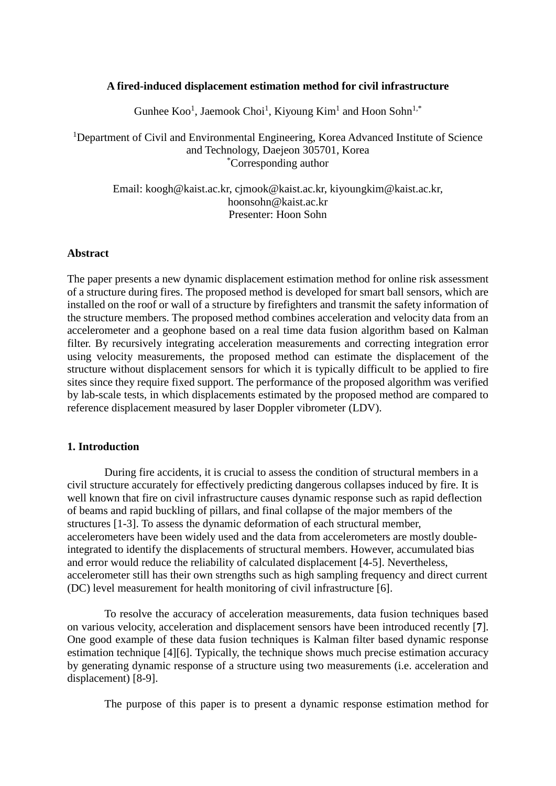## **A fired-induced displacement estimation method for civil infrastructure**

Gunhee  $Koo<sup>1</sup>$ , Jaemook Choi<sup>1</sup>, Kiyoung Kim<sup>1</sup> and Hoon Sohn<sup>1,\*</sup>

<sup>1</sup>Department of Civil and Environmental Engineering, Korea Advanced Institute of Science and Technology, Daejeon 305701, Korea \* Corresponding author

Email: koogh@kaist.ac.kr, cjmook@kaist.ac.kr, kiyoungkim@kaist.ac.kr, hoonsohn@kaist.ac.kr Presenter: Hoon Sohn

## **Abstract**

The paper presents a new dynamic displacement estimation method for online risk assessment of a structure during fires. The proposed method is developed for smart ball sensors, which are installed on the roof or wall of a structure by firefighters and transmit the safety information of the structure members. The proposed method combines acceleration and velocity data from an accelerometer and a geophone based on a real time data fusion algorithm based on Kalman filter. By recursively integrating acceleration measurements and correcting integration error using velocity measurements, the proposed method can estimate the displacement of the structure without displacement sensors for which it is typically difficult to be applied to fire sites since they require fixed support. The performance of the proposed algorithm was verified by lab-scale tests, in which displacements estimated by the proposed method are compared to reference displacement measured by laser Doppler vibrometer (LDV).

# **1. Introduction**

During fire accidents, it is crucial to assess the condition of structural members in a civil structure accurately for effectively predicting dangerous collapses induced by fire. It is well known that fire on civil infrastructure causes dynamic response such as rapid deflection of beams and rapid buckling of pillars, and final collapse of the major members of the structures [1-3]. To assess the dynamic deformation of each structural member, accelerometers have been widely used and the data from accelerometers are mostly doubleintegrated to identify the displacements of structural members. However, accumulated bias and error would reduce the reliability of calculated displacement [4-5]. Nevertheless, accelerometer still has their own strengths such as high sampling frequency and direct current (DC) level measurement for health monitoring of civil infrastructure [6].

To resolve the accuracy of acceleration measurements, data fusion techniques based on various velocity, acceleration and displacement sensors have been introduced recently [**7**]. One good example of these data fusion techniques is Kalman filter based dynamic response estimation technique [4][6]. Typically, the technique shows much precise estimation accuracy by generating dynamic response of a structure using two measurements (i.e. acceleration and displacement) [8-9].

The purpose of this paper is to present a dynamic response estimation method for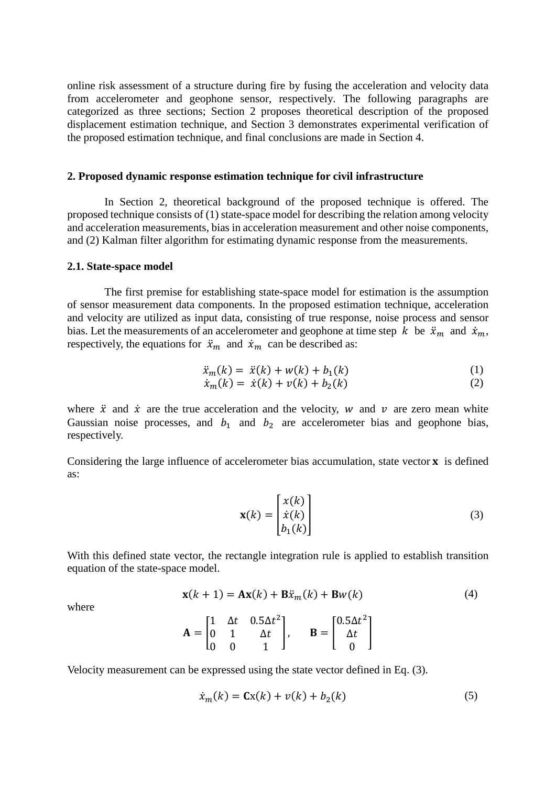online risk assessment of a structure during fire by fusing the acceleration and velocity data from accelerometer and geophone sensor, respectively. The following paragraphs are categorized as three sections; Section 2 proposes theoretical description of the proposed displacement estimation technique, and Section 3 demonstrates experimental verification of the proposed estimation technique, and final conclusions are made in Section 4.

#### **2. Proposed dynamic response estimation technique for civil infrastructure**

In Section 2, theoretical background of the proposed technique is offered. The proposed technique consists of (1) state-space model for describing the relation among velocity and acceleration measurements, bias in acceleration measurement and other noise components, and (2) Kalman filter algorithm for estimating dynamic response from the measurements.

#### **2.1. State-space model**

The first premise for establishing state-space model for estimation is the assumption of sensor measurement data components. In the proposed estimation technique, acceleration and velocity are utilized as input data, consisting of true response, noise process and sensor bias. Let the measurements of an accelerometer and geophone at time step  $k$  be  $\ddot{x}_m$  and  $\dot{x}_m$ , respectively, the equations for  $\ddot{x}_m$  and  $\dot{x}_m$  can be described as:

$$
\ddot{x}_m(k) = \ddot{x}(k) + w(k) + b_1(k) \tag{1}
$$

$$
\dot{x}_m(k) = \dot{x}(k) + v(k) + b_2(k) \tag{2}
$$

where  $\ddot{x}$  and  $\dot{x}$  are the true acceleration and the velocity, w and  $\nu$  are zero mean white Gaussian noise processes, and  $b_1$  and  $b_2$  are accelerometer bias and geophone bias, respectively.

Considering the large influence of accelerometer bias accumulation, state vector  $\bf{x}$  is defined as:

$$
\mathbf{x}(k) = \begin{bmatrix} x(k) \\ \dot{x}(k) \\ b_1(k) \end{bmatrix}
$$
 (3)

With this defined state vector, the rectangle integration rule is applied to establish transition equation of the state-space model.

$$
\mathbf{x}(k+1) = \mathbf{A}\mathbf{x}(k) + \mathbf{B}\ddot{x}_m(k) + \mathbf{B}w(k)
$$
 (4)

where

$$
\mathbf{A} = \begin{bmatrix} 1 & \Delta t & 0.5\Delta t^2 \\ 0 & 1 & \Delta t \\ 0 & 0 & 1 \end{bmatrix}, \qquad \mathbf{B} = \begin{bmatrix} 0.5\Delta t^2 \\ \Delta t \\ 0 \end{bmatrix}
$$

Velocity measurement can be expressed using the state vector defined in Eq. (3).

$$
\dot{x}_m(k) = \mathbf{C}\mathbf{x}(k) + v(k) + b_2(k) \tag{5}
$$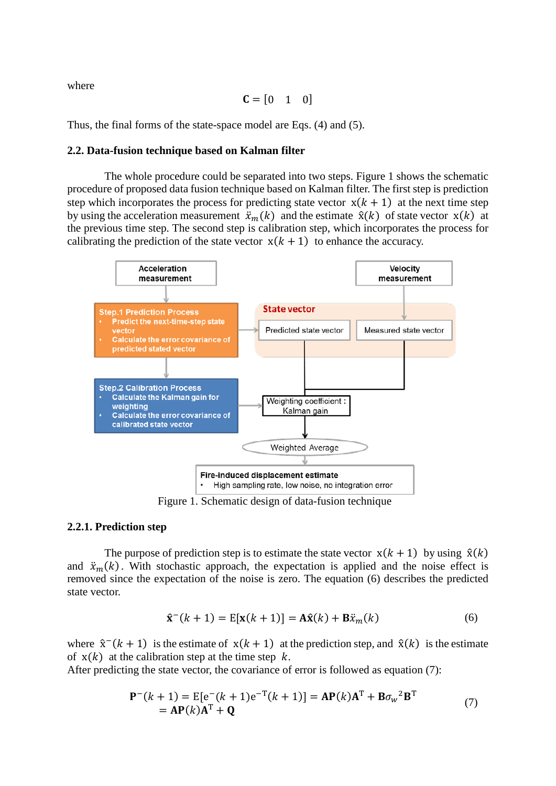where

$$
\mathbf{C} = \begin{bmatrix} 0 & 1 & 0 \end{bmatrix}
$$

Thus, the final forms of the state-space model are Eqs. (4) and (5).

#### **2.2. Data-fusion technique based on Kalman filter**

The whole procedure could be separated into two steps. Figure 1 shows the schematic procedure of proposed data fusion technique based on Kalman filter. The first step is prediction step which incorporates the process for predicting state vector  $x(k + 1)$  at the next time step by using the acceleration measurement  $\ddot{x}_m(k)$  and the estimate  $\hat{x}(k)$  of state vector  $x(k)$  at the previous time step. The second step is calibration step, which incorporates the process for calibrating the prediction of the state vector  $x(k + 1)$  to enhance the accuracy.



Figure 1. Schematic design of data-fusion technique

#### **2.2.1. Prediction step**

The purpose of prediction step is to estimate the state vector  $x(k + 1)$  by using  $\hat{x}(k)$ and  $\ddot{x}_m(k)$ . With stochastic approach, the expectation is applied and the noise effect is removed since the expectation of the noise is zero. The equation (6) describes the predicted state vector.

$$
\hat{\mathbf{x}}^-(k+1) = \mathbb{E}[\mathbf{x}(k+1)] = \mathbf{A}\hat{\mathbf{x}}(k) + \mathbf{B}\ddot{x}_m(k)
$$
(6)

where  $\hat{x}^-(k+1)$  is the estimate of  $x(k+1)$  at the prediction step, and  $\hat{x}(k)$  is the estimate of  $x(k)$  at the calibration step at the time step k.

After predicting the state vector, the covariance of error is followed as equation (7):

$$
\mathbf{P}^{-}(k+1) = \mathbf{E}[\mathbf{e}^{-}(k+1)\mathbf{e}^{-T}(k+1)] = \mathbf{A}\mathbf{P}(k)\mathbf{A}^{T} + \mathbf{B}\sigma_{w}^{2}\mathbf{B}^{T}
$$
  
=  $\mathbf{A}\mathbf{P}(k)\mathbf{A}^{T} + \mathbf{Q}$  (7)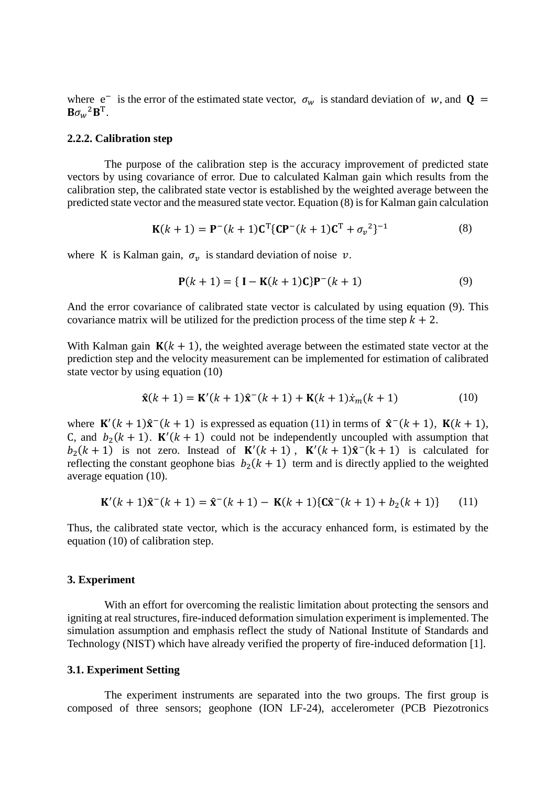where  $e^-$  is the error of the estimated state vector,  $\sigma_w$  is standard deviation of w, and  $\mathbf{Q} =$  $B\sigma_w^2B^T$ .

#### **2.2.2. Calibration step**

The purpose of the calibration step is the accuracy improvement of predicted state vectors by using covariance of error. Due to calculated Kalman gain which results from the calibration step, the calibrated state vector is established by the weighted average between the predicted state vector and the measured state vector. Equation (8) is for Kalman gain calculation

$$
\mathbf{K}(k+1) = \mathbf{P}^-(k+1)\mathbf{C}^{\mathrm{T}}\{\mathbf{C}\mathbf{P}^-(k+1)\mathbf{C}^{\mathrm{T}} + \sigma_v^2\}^{-1}
$$
(8)

where K is Kalman gain,  $\sigma_v$  is standard deviation of noise  $v$ .

$$
P(k + 1) = \{ I - K(k + 1)C\}P^{-}(k + 1)
$$
\n(9)

And the error covariance of calibrated state vector is calculated by using equation (9). This covariance matrix will be utilized for the prediction process of the time step  $k + 2$ .

With Kalman gain  $K(k + 1)$ , the weighted average between the estimated state vector at the prediction step and the velocity measurement can be implemented for estimation of calibrated state vector by using equation (10)

$$
\hat{\mathbf{x}}(k+1) = \mathbf{K}'(k+1)\hat{\mathbf{x}}^-(k+1) + \mathbf{K}(k+1)\dot{x}_m(k+1)
$$
 (10)

where  $\mathbf{K}'(k+1)\hat{\mathbf{x}}^{-}(k+1)$  is expressed as equation (11) in terms of  $\hat{\mathbf{x}}^{-}(k+1)$ ,  $\mathbf{K}(k+1)$ , C, and  $b_2(k + 1)$ .  $\mathbf{K}'(k + 1)$  could not be independently uncoupled with assumption that  $b_2(k+1)$  is not zero. Instead of  $K'(k+1)$ ,  $K'(k+1)\hat{x}^-(k+1)$  is calculated for reflecting the constant geophone bias  $b_2(k + 1)$  term and is directly applied to the weighted average equation (10).

$$
\mathbf{K}'(k+1)\hat{\mathbf{x}}^-(k+1) = \hat{\mathbf{x}}^-(k+1) - \mathbf{K}(k+1)\{\mathbf{C}\hat{\mathbf{x}}^-(k+1) + b_2(k+1)\} \tag{11}
$$

Thus, the calibrated state vector, which is the accuracy enhanced form, is estimated by the equation (10) of calibration step.

## **3. Experiment**

With an effort for overcoming the realistic limitation about protecting the sensors and igniting at real structures, fire-induced deformation simulation experiment is implemented. The simulation assumption and emphasis reflect the study of National Institute of Standards and Technology (NIST) which have already verified the property of fire-induced deformation [1].

#### **3.1. Experiment Setting**

The experiment instruments are separated into the two groups. The first group is composed of three sensors; geophone (ION LF-24), accelerometer (PCB Piezotronics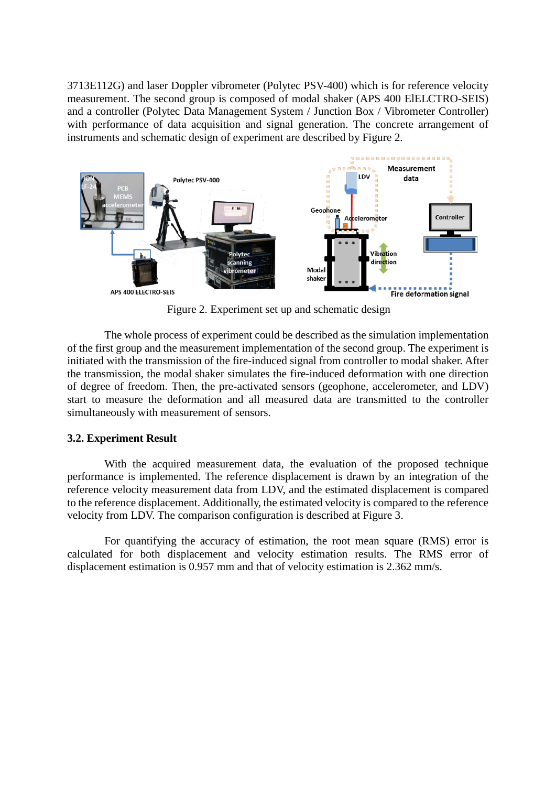3713E112G) and laser Doppler vibrometer (Polytec PSV-400) which is for reference velocity measurement. The second group is composed of modal shaker (APS 400 ElELCTRO-SEIS) and a controller (Polytec Data Management System / Junction Box / Vibrometer Controller) with performance of data acquisition and signal generation. The concrete arrangement of instruments and schematic design of experiment are described by Figure 2.



Figure 2. Experiment set up and schematic design

The whole process of experiment could be described as the simulation implementation of the first group and the measurement implementation of the second group. The experiment is initiated with the transmission of the fire-induced signal from controller to modal shaker. After the transmission, the modal shaker simulates the fire-induced deformation with one direction of degree of freedom. Then, the pre-activated sensors (geophone, accelerometer, and LDV) start to measure the deformation and all measured data are transmitted to the controller simultaneously with measurement of sensors.

## **3.2. Experiment Result**

With the acquired measurement data, the evaluation of the proposed technique performance is implemented. The reference displacement is drawn by an integration of the reference velocity measurement data from LDV, and the estimated displacement is compared to the reference displacement. Additionally, the estimated velocity is compared to the reference velocity from LDV. The comparison configuration is described at Figure 3.

For quantifying the accuracy of estimation, the root mean square (RMS) error is calculated for both displacement and velocity estimation results. The RMS error of displacement estimation is 0.957 mm and that of velocity estimation is 2.362 mm/s.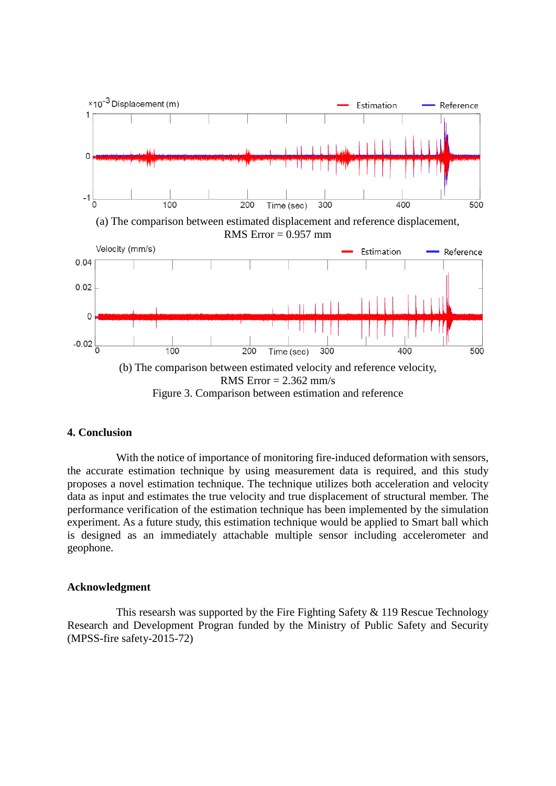

Figure 3. Comparison between estimation and reference

## **4. Conclusion**

With the notice of importance of monitoring fire-induced deformation with sensors, the accurate estimation technique by using measurement data is required, and this study proposes a novel estimation technique. The technique utilizes both acceleration and velocity data as input and estimates the true velocity and true displacement of structural member. The performance verification of the estimation technique has been implemented by the simulation experiment. As a future study, this estimation technique would be applied to Smart ball which is designed as an immediately attachable multiple sensor including accelerometer and geophone.

## **Acknowledgment**

This researsh was supported by the Fire Fighting Safety & 119 Rescue Technology Research and Development Progran funded by the Ministry of Public Safety and Security (MPSS-fire safety-2015-72)